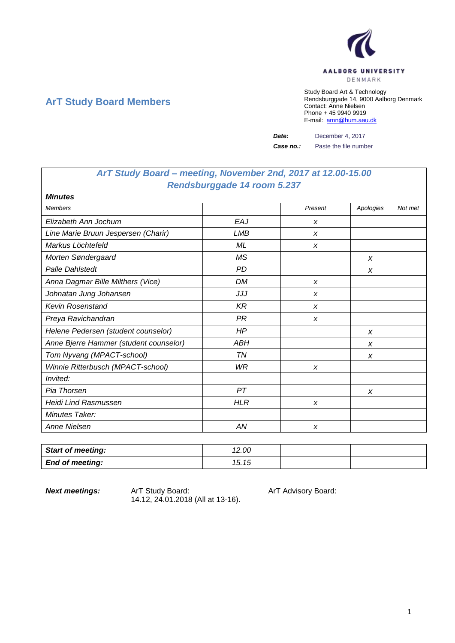

# **ArT Study Board Members**

Study Board Art & Technology Rendsburggade 14, 9000 Aalborg Denmark Contact: Anne Nielsen Phone + 45 9940 9919 E-mail: [amn@hum.aau.dk](mailto:amn@hum.aau.dk)

*Date:* December 4, 2017

**Case no.:** Paste the file number

## *ArT Study Board – meeting, November 2nd, 2017 at 12.00-15.00 Rendsburggade 14 room 5.237*

| <b>Minutes</b>                         |            |         |           |         |
|----------------------------------------|------------|---------|-----------|---------|
| <b>Members</b>                         |            | Present | Apologies | Not met |
| Elizabeth Ann Jochum                   | EAJ        | X       |           |         |
| Line Marie Bruun Jespersen (Charir)    | LMB        | X       |           |         |
| Markus Löchtefeld                      | ML         | X       |           |         |
| Morten Søndergaard                     | <b>MS</b>  |         | X         |         |
| <b>Palle Dahlstedt</b>                 | <b>PD</b>  |         | X         |         |
| Anna Dagmar Bille Milthers (Vice)      | <b>DM</b>  | X       |           |         |
| Johnatan Jung Johansen                 | JJJ        | X       |           |         |
| <b>Kevin Rosenstand</b>                | KR         | X       |           |         |
| Preya Ravichandran                     | PR         | X       |           |         |
| Helene Pedersen (student counselor)    | HP         |         | X         |         |
| Anne Bjerre Hammer (student counselor) | <b>ABH</b> |         | X         |         |
| Tom Nyvang (MPACT-school)              | <b>TN</b>  |         | X         |         |
| Winnie Ritterbusch (MPACT-school)      | WR         | X       |           |         |
| Invited:                               |            |         |           |         |
| Pia Thorsen                            | PT         |         | X         |         |
| <b>Heidi Lind Rasmussen</b>            | <b>HLR</b> | X       |           |         |
| Minutes Taker:                         |            |         |           |         |
| Anne Nielsen                           | ΑN         | x       |           |         |

| <b>Start of meeting:</b> | 12.00 |  |  |
|--------------------------|-------|--|--|
| <b>End of meeting:</b>   | 15.15 |  |  |

**Next meetings:** ArT Study Board: ArT Advisory Board: 14.12, 24.01.2018 (All at 13-16).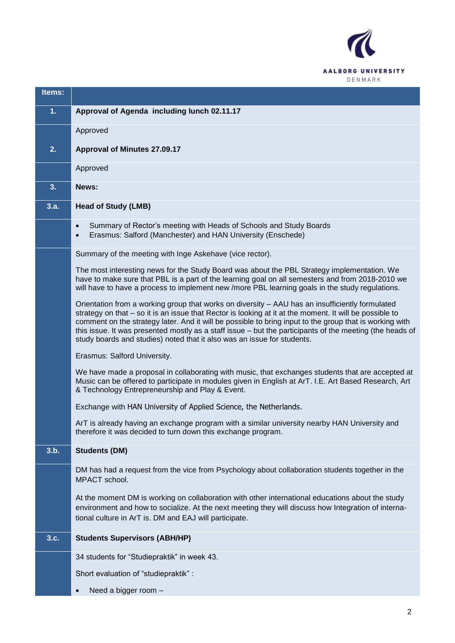

| Items: |                                                                                                                                                                                                                                                                                                                                                                                                                                                                                                              |
|--------|--------------------------------------------------------------------------------------------------------------------------------------------------------------------------------------------------------------------------------------------------------------------------------------------------------------------------------------------------------------------------------------------------------------------------------------------------------------------------------------------------------------|
| 1.     | Approval of Agenda including lunch 02.11.17                                                                                                                                                                                                                                                                                                                                                                                                                                                                  |
|        | Approved                                                                                                                                                                                                                                                                                                                                                                                                                                                                                                     |
| 2.     | <b>Approval of Minutes 27.09.17</b>                                                                                                                                                                                                                                                                                                                                                                                                                                                                          |
|        | Approved                                                                                                                                                                                                                                                                                                                                                                                                                                                                                                     |
| 3.     | News:                                                                                                                                                                                                                                                                                                                                                                                                                                                                                                        |
| 3.a.   | <b>Head of Study (LMB)</b>                                                                                                                                                                                                                                                                                                                                                                                                                                                                                   |
|        | Summary of Rector's meeting with Heads of Schools and Study Boards<br>$\bullet$<br>Erasmus: Salford (Manchester) and HAN University (Enschede)<br>$\bullet$                                                                                                                                                                                                                                                                                                                                                  |
|        | Summary of the meeting with Inge Askehave (vice rector).                                                                                                                                                                                                                                                                                                                                                                                                                                                     |
|        | The most interesting news for the Study Board was about the PBL Strategy implementation. We<br>have to make sure that PBL is a part of the learning goal on all semesters and from 2018-2010 we<br>will have to have a process to implement new /more PBL learning goals in the study regulations.                                                                                                                                                                                                           |
|        | Orientation from a working group that works on diversity - AAU has an insufficiently formulated<br>strategy on that – so it is an issue that Rector is looking at it at the moment. It will be possible to<br>comment on the strategy later. And it will be possible to bring input to the group that is working with<br>this issue. It was presented mostly as a staff issue - but the participants of the meeting (the heads of<br>study boards and studies) noted that it also was an issue for students. |
|        | Erasmus: Salford University.                                                                                                                                                                                                                                                                                                                                                                                                                                                                                 |
|        | We have made a proposal in collaborating with music, that exchanges students that are accepted at<br>Music can be offered to participate in modules given in English at ArT. I.E. Art Based Research, Art<br>& Technology Entrepreneurship and Play & Event.                                                                                                                                                                                                                                                 |
|        | Exchange with HAN University of Applied Science, the Netherlands.                                                                                                                                                                                                                                                                                                                                                                                                                                            |
|        | ArT is already having an exchange program with a similar university nearby HAN University and<br>therefore it was decided to turn down this exchange program.                                                                                                                                                                                                                                                                                                                                                |
| 3.b.   | <b>Students (DM)</b>                                                                                                                                                                                                                                                                                                                                                                                                                                                                                         |
|        | DM has had a request from the vice from Psychology about collaboration students together in the<br>MPACT school.                                                                                                                                                                                                                                                                                                                                                                                             |
|        | At the moment DM is working on collaboration with other international educations about the study<br>environment and how to socialize. At the next meeting they will discuss how Integration of interna-<br>tional culture in ArT is. DM and EAJ will participate.                                                                                                                                                                                                                                            |
| 3.c.   | <b>Students Supervisors (ABH/HP)</b>                                                                                                                                                                                                                                                                                                                                                                                                                                                                         |
|        | 34 students for "Studiepraktik" in week 43.                                                                                                                                                                                                                                                                                                                                                                                                                                                                  |
|        | Short evaluation of "studiepraktik" :                                                                                                                                                                                                                                                                                                                                                                                                                                                                        |
|        | Need a bigger room -<br>$\bullet$                                                                                                                                                                                                                                                                                                                                                                                                                                                                            |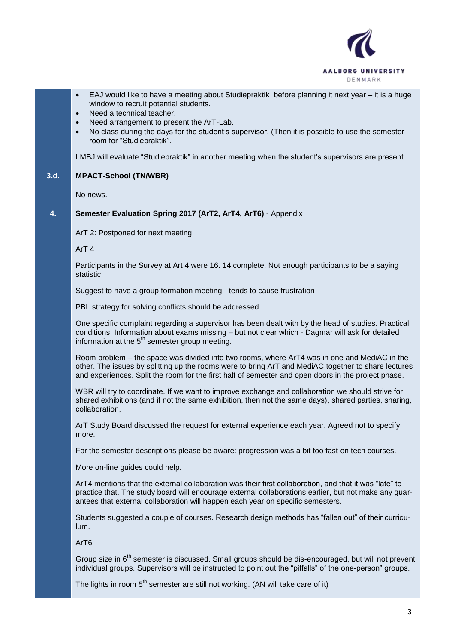

|      | EAJ would like to have a meeting about Studiepraktik before planning it next year – it is a huge<br>$\bullet$<br>window to recruit potential students.<br>Need a technical teacher.<br>$\bullet$<br>Need arrangement to present the ArT-Lab.<br>$\bullet$<br>No class during the days for the student's supervisor. (Then it is possible to use the semester<br>$\bullet$<br>room for "Studiepraktik". |
|------|--------------------------------------------------------------------------------------------------------------------------------------------------------------------------------------------------------------------------------------------------------------------------------------------------------------------------------------------------------------------------------------------------------|
|      | LMBJ will evaluate "Studiepraktik" in another meeting when the student's supervisors are present.                                                                                                                                                                                                                                                                                                      |
| 3.d. | <b>MPACT-School (TN/WBR)</b>                                                                                                                                                                                                                                                                                                                                                                           |
|      | No news.                                                                                                                                                                                                                                                                                                                                                                                               |
| 4.   | Semester Evaluation Spring 2017 (ArT2, ArT4, ArT6) - Appendix                                                                                                                                                                                                                                                                                                                                          |
|      | ArT 2: Postponed for next meeting.                                                                                                                                                                                                                                                                                                                                                                     |
|      | ArT <sub>4</sub>                                                                                                                                                                                                                                                                                                                                                                                       |
|      | Participants in the Survey at Art 4 were 16. 14 complete. Not enough participants to be a saying<br>statistic.                                                                                                                                                                                                                                                                                         |
|      | Suggest to have a group formation meeting - tends to cause frustration                                                                                                                                                                                                                                                                                                                                 |
|      | PBL strategy for solving conflicts should be addressed.                                                                                                                                                                                                                                                                                                                                                |
|      | One specific complaint regarding a supervisor has been dealt with by the head of studies. Practical<br>conditions. Information about exams missing - but not clear which - Dagmar will ask for detailed<br>information at the 5 <sup>th</sup> semester group meeting.                                                                                                                                  |
|      | Room problem - the space was divided into two rooms, where ArT4 was in one and MediAC in the<br>other. The issues by splitting up the rooms were to bring ArT and MediAC together to share lectures<br>and experiences. Split the room for the first half of semester and open doors in the project phase.                                                                                             |
|      | WBR will try to coordinate. If we want to improve exchange and collaboration we should strive for<br>shared exhibitions (and if not the same exhibition, then not the same days), shared parties, sharing,<br>collaboration,                                                                                                                                                                           |
|      | ArT Study Board discussed the request for external experience each year. Agreed not to specify<br>more.                                                                                                                                                                                                                                                                                                |
|      | For the semester descriptions please be aware: progression was a bit too fast on tech courses.                                                                                                                                                                                                                                                                                                         |
|      | More on-line guides could help.                                                                                                                                                                                                                                                                                                                                                                        |
|      | ArT4 mentions that the external collaboration was their first collaboration, and that it was "late" to<br>practice that. The study board will encourage external collaborations earlier, but not make any guar-<br>antees that external collaboration will happen each year on specific semesters.                                                                                                     |
|      | Students suggested a couple of courses. Research design methods has "fallen out" of their curricu-<br>lum.                                                                                                                                                                                                                                                                                             |
|      | ArT6                                                                                                                                                                                                                                                                                                                                                                                                   |
|      | Group size in 6 <sup>th</sup> semester is discussed. Small groups should be dis-encouraged, but will not prevent<br>individual groups. Supervisors will be instructed to point out the "pitfalls" of the one-person" groups.                                                                                                                                                                           |
|      |                                                                                                                                                                                                                                                                                                                                                                                                        |

The lights in room  $5<sup>th</sup>$  semester are still not working. (AN will take care of it)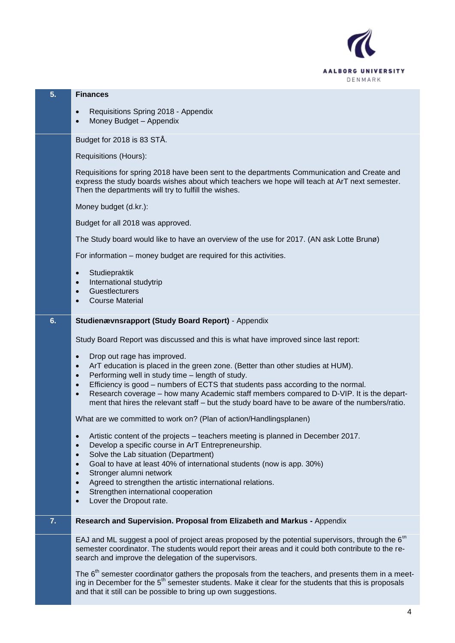

### **5. Finances**

- Requisitions Spring 2018 Appendix
- Money Budget Appendix

Budget for 2018 is 83 STÅ.

Requisitions (Hours):

Requisitions for spring 2018 have been sent to the departments Communication and Create and express the study boards wishes about which teachers we hope will teach at ArT next semester. Then the departments will try to fulfill the wishes.

Money budget (d.kr.):

Budget for all 2018 was approved.

The Study board would like to have an overview of the use for 2017. (AN ask Lotte Brunø)

For information – money budget are required for this activities.

- **Studiepraktik**
- International studytrip
- **Guestlecturers**
- Course Material

#### **6. Studienævnsrapport (Study Board Report)** - Appendix

Study Board Report was discussed and this is what have improved since last report:

- Drop out rage has improved.
- ArT education is placed in the green zone. (Better than other studies at HUM).
- Performing well in study time length of study.
- Efficiency is good numbers of ECTS that students pass according to the normal.
- Research coverage how many Academic staff members compared to D-VIP. It is the department that hires the relevant staff – but the study board have to be aware of the numbers/ratio.

What are we committed to work on? (Plan of action/Handlingsplanen)

- Artistic content of the projects teachers meeting is planned in December 2017.
- Develop a specific course in ArT Entrepreneurship.
- Solve the Lab situation (Department)
- Goal to have at least 40% of international students (now is app. 30%)
- Stronger alumni network
- Agreed to strengthen the artistic international relations.
- Strengthen international cooperation
- Lover the Dropout rate.

### **7. Research and Supervision. Proposal from Elizabeth and Markus -** Appendix

EAJ and ML suggest a pool of project areas proposed by the potential supervisors, through the 6<sup>th</sup> semester coordinator. The students would report their areas and it could both contribute to the research and improve the delegation of the supervisors.

The  $6<sup>th</sup>$  semester coordinator gathers the proposals from the teachers, and presents them in a meeting in December for the 5<sup>th</sup> semester students. Make it clear for the students that this is proposals and that it still can be possible to bring up own suggestions.